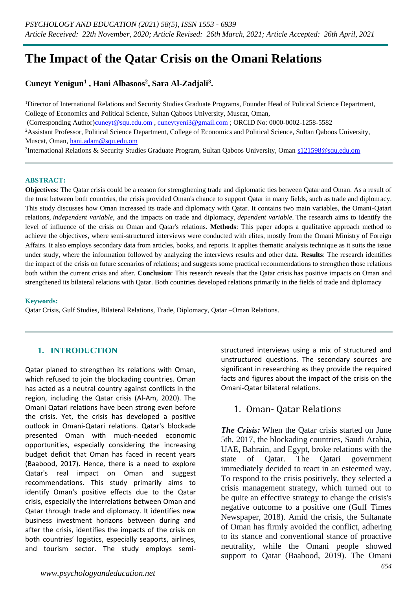# **The Impact of the Qatar Crisis on the Omani Relations**

### **Cuneyt Yenigun<sup>1</sup> , Hani Albasoos<sup>2</sup> , Sara Al-Zadjali<sup>3</sup> .**

<sup>1</sup>Director of International Relations and Security Studies Graduate Programs, Founder Head of Political Science Department, College of Economics and Political Science, Sultan Qaboos University, Muscat, Oman,

(Corresponding Author[\)cuneyt@squ.edu.om](mailto:cuneyt@squ.edu.om) , [cuneytyeni3@gmail.com](mailto:cuneytyeni3@gmail.com) ; ORCID No: 0000-0002-1258-5582

<sup>2</sup>Assistant Professor, Political Science Department, College of Economics and Political Science, Sultan Qaboos University, Muscat, Oman, [hani.adam@squ.edu.om](mailto:hani.adam@squ.edu.om)

<sup>3</sup>International Relations & Security Studies Graduate Program, Sultan Qaboos University, Oman [s121598@squ.edu.om](mailto:s121598@squ.edu.om)

#### **ABSTRACT:**

**Objectives**: The Qatar crisis could be a reason for strengthening trade and diplomatic ties between Qatar and Oman. As a result of the trust between both countries, the crisis provided Oman's chance to support Qatar in many fields, such as trade and diplomacy. This study discusses how Oman increased its trade and diplomacy with Qatar. It contains two main variables, the Omani-Qatari relations, *independent variable*, and the impacts on trade and diplomacy, *dependent variable*. The research aims to identify the level of influence of the crisis on Oman and Qatar's relations. **Methods**: This paper adopts a qualitative approach method to achieve the objectives, where semi-structured interviews were conducted with elites, mostly from the Omani Ministry of Foreign Affairs. It also employs secondary data from articles, books, and reports. It applies thematic analysis technique as it suits the issue under study, where the information followed by analyzing the interviews results and other data. **Results**: The research identifies the impact of the crisis on future scenarios of relations; and suggests some practical recommendations to strengthen those relations both within the current crisis and after. **Conclusion**: This research reveals that the Qatar crisis has positive impacts on Oman and strengthened its bilateral relations with Qatar. Both countries developed relations primarily in the fields of trade and diplomacy

#### **Keywords:**

Qatar Crisis, Gulf Studies, Bilateral Relations, Trade, Diplomacy, Qatar –Oman Relations.

### **1. INTRODUCTION**

Qatar planed to strengthen its relations with Oman, which refused to join the blockading countries. Oman has acted as a neutral country against conflicts in the region, including the Qatar crisis (Al-Am, 2020). The Omani Qatari relations have been strong even before the crisis. Yet, the crisis has developed a positive outlook in Omani-Qatari relations. Qatar's blockade presented Oman with much-needed economic opportunities, especially considering the increasing budget deficit that Oman has faced in recent years (Baabood, 2017). Hence, there is a need to explore Qatar's real impact on Oman and suggest recommendations. This study primarily aims to identify Oman's positive effects due to the Qatar crisis, especially the interrelations between Oman and Qatar through trade and diplomacy. It identifies new business investment horizons between during and after the crisis, identifies the impacts of the crisis on both countries' logistics, especially seaports, airlines, and tourism sector. The study employs semistructured interviews using a mix of structured and unstructured questions. The secondary sources are significant in researching as they provide the required facts and figures about the impact of the crisis on the Omani-Qatar bilateral relations.

### 1. Oman- Qatar Relations

*The Crisis:* When the Qatar crisis started on June 5th, 2017, the blockading countries, Saudi Arabia, UAE, Bahrain, and Egypt, broke relations with the state of Qatar. The Qatari government immediately decided to react in an esteemed way. To respond to the crisis positively, they selected a crisis management strategy, which turned out to be quite an effective strategy to change the crisis's negative outcome to a positive one (Gulf Times Newspaper, 2018). Amid the crisis, the Sultanate of Oman has firmly avoided the conflict, adhering to its stance and conventional stance of proactive neutrality, while the Omani people showed support to Qatar (Baabood, 2019). The Omani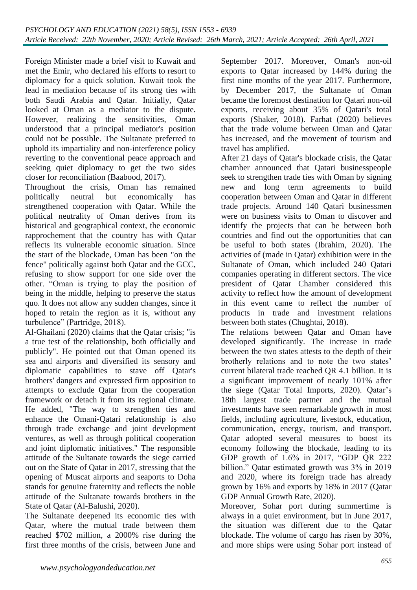Foreign Minister made a brief visit to Kuwait and met the Emir, who declared his efforts to resort to diplomacy for a quick solution. Kuwait took the lead in mediation because of its strong ties with both Saudi Arabia and Qatar. Initially, Qatar looked at Oman as a mediator to the dispute. However, realizing the sensitivities, Oman understood that a principal mediator's position could not be possible. The Sultanate preferred to uphold its impartiality and non-interference policy reverting to the conventional peace approach and seeking quiet diplomacy to get the two sides closer for reconciliation (Baabood, 2017).

Throughout the crisis, Oman has remained politically neutral but economically has strengthened cooperation with Qatar. While the political neutrality of Oman derives from its historical and geographical context, the economic rapprochement that the country has with Qatar reflects its vulnerable economic situation. Since the start of the blockade, Oman has been "on the fence" politically against both Qatar and the GCC, refusing to show support for one side over the other. "Oman is trying to play the position of being in the middle, helping to preserve the status quo. It does not allow any sudden changes, since it hoped to retain the region as it is, without any turbulence" (Partridge, 2018).

Al-Ghailani (2020) claims that the Qatar crisis; "is a true test of the relationship, both officially and publicly". He pointed out that Oman opened its sea and airports and diversified its sensory and diplomatic capabilities to stave off Qatar's brothers' dangers and expressed firm opposition to attempts to exclude Qatar from the cooperation framework or detach it from its regional climate. He added, "The way to strengthen ties and enhance the Omani-Qatari relationship is also through trade exchange and joint development ventures, as well as through political cooperation and joint diplomatic initiatives." The responsible attitude of the Sultanate towards the siege carried out on the State of Qatar in 2017, stressing that the opening of Muscat airports and seaports to Doha stands for genuine fraternity and reflects the noble attitude of the Sultanate towards brothers in the State of Qatar (Al-Balushi, 2020).

The Sultanate deepened its economic ties with Qatar, where the mutual trade between them reached \$702 million, a 2000% rise during the first three months of the crisis, between June and

September 2017. Moreover, Oman's non-oil exports to Qatar increased by 144% during the first nine months of the year 2017. Furthermore, by December 2017, the Sultanate of Oman became the foremost destination for Qatari non-oil exports, receiving about 35% of Qatari's total exports (Shaker, 2018). Farhat (2020) believes that the trade volume between Oman and Qatar has increased, and the movement of tourism and travel has amplified.

After 21 days of Qatar's blockade crisis, the Qatar chamber announced that Qatari businesspeople seek to strengthen trade ties with Oman by signing new and long term agreements to build cooperation between Oman and Qatar in different trade projects. Around 140 Qatari businessmen were on business visits to Oman to discover and identify the projects that can be between both countries and find out the opportunities that can be useful to both states (Ibrahim, 2020). The activities of (made in Qatar) exhibition were in the Sultanate of Oman, which included 240 Qatari companies operating in different sectors. The vice president of Qatar Chamber considered this activity to reflect how the amount of development in this event came to reflect the number of products in trade and investment relations between both states (Chughtai, 2018).

The relations between Qatar and Oman have developed significantly. The increase in trade between the two states attests to the depth of their brotherly relations and to note the two states' current bilateral trade reached QR 4.1 billion. It is a significant improvement of nearly 101% after the siege (Qatar Total Imports, 2020). Qatar's 18th largest trade partner and the mutual investments have seen remarkable growth in most fields, including agriculture, livestock, education, communication, energy, tourism, and transport. Qatar adopted several measures to boost its economy following the blockade, leading to its GDP growth of 1.6% in 2017, "GDP QR 222 billion." Qatar estimated growth was 3% in 2019 and 2020, where its foreign trade has already grown by 16% and exports by 18% in 2017 (Qatar GDP Annual Growth Rate, 2020).

Moreover, Sohar port during summertime is always in a quiet environment, but in June 2017, the situation was different due to the Qatar blockade. The volume of cargo has risen by 30%, and more ships were using Sohar port instead of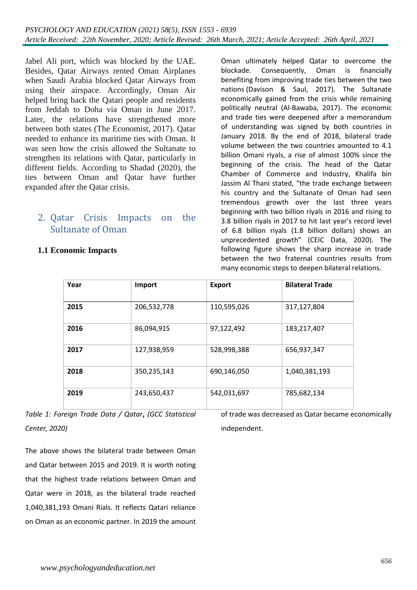Jabel Ali port, which was blocked by the UAE. Besides, Qatar Airways rented Oman Airplanes when Saudi Arabia blocked Qatar Airways from using their airspace. Accordingly, Oman Air helped bring back the Qatari people and residents from Jeddah to Doha via Oman in June 2017. Later, the relations have strengthened more between both states (The Economist, 2017). Qatar needed to enhance its maritime ties with Oman. It was seen how the crisis allowed the Sultanate to strengthen its relations with Qatar, particularly in different fields. According to Shadad (2020), the ties between Oman and Qatar have further expanded after the Qatar crisis.

## 2. Qatar Crisis Impacts on the Sultanate of Oman

Oman ultimately helped Qatar to overcome the blockade. Consequently, Oman is financially benefiting from improving trade ties between the two nations (Davison & Saul, 2017). The Sultanate economically gained from the crisis while remaining politically neutral (Al-Bawaba, 2017). The economic and trade ties were deepened after a memorandum of understanding was signed by both countries in January 2018. By the end of 2018, bilateral trade volume between the two countries amounted to 4.1 billion Omani riyals, a rise of almost 100% since the beginning of the crisis. The head of the Qatar Chamber of Commerce and Industry, Khalifa bin Jassim Al Thani stated, "the trade exchange between his country and the Sultanate of Oman had seen tremendous growth over the last three years beginning with two billion riyals in 2016 and rising to 3.8 billion riyals in 2017 to hit last year's record level of 6.8 billion riyals (1.8 billion dollars) shows an unprecedented growth" (CEIC Data, 2020). The following figure shows the sharp increase in trade between the two fraternal countries results from many economic steps to deepen bilateral relations.

| Year | Import      | <b>Export</b> | <b>Bilateral Trade</b> |
|------|-------------|---------------|------------------------|
|      |             |               |                        |
| 2015 | 206,532,778 | 110,595,026   | 317,127,804            |
| 2016 | 86,094,915  | 97,122,492    | 183,217,407            |
| 2017 | 127,938,959 | 528,998,388   | 656,937,347            |
| 2018 | 350,235,143 | 690,146,050   | 1,040,381,193          |
| 2019 | 243,650,437 | 542,031,697   | 785,682,134            |

**1.1 Economic Impacts**

*Table 1: Foreign Trade Data / Qatar***,** *(GCC Statistical Center, 2020)*

The above shows the bilateral trade between Oman and Qatar between 2015 and 2019. It is worth noting that the highest trade relations between Oman and Qatar were in 2018, as the bilateral trade reached 1,040,381,193 Omani Rials. It reflects Qatari reliance on Oman as an economic partner. In 2019 the amount of trade was decreased as Qatar became economically independent.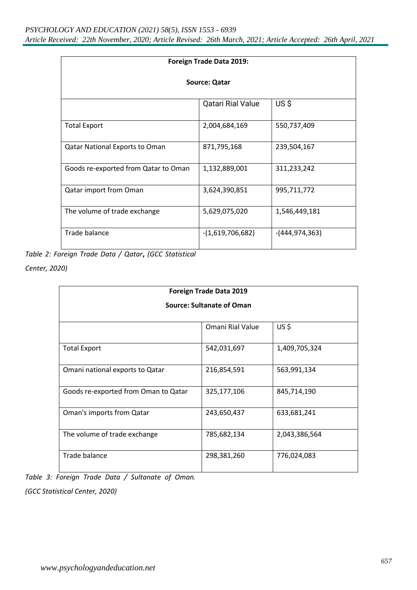| Foreign Trade Data 2019:              |                          |                |  |  |  |  |
|---------------------------------------|--------------------------|----------------|--|--|--|--|
| <b>Source: Qatar</b>                  |                          |                |  |  |  |  |
|                                       | <b>Qatari Rial Value</b> | US\$           |  |  |  |  |
| <b>Total Export</b>                   | 2,004,684,169            | 550,737,409    |  |  |  |  |
| <b>Qatar National Exports to Oman</b> | 871,795,168              | 239,504,167    |  |  |  |  |
| Goods re-exported from Qatar to Oman  | 1,132,889,001            | 311,233,242    |  |  |  |  |
| Qatar import from Oman                | 3,624,390,851            | 995,711,772    |  |  |  |  |
| The volume of trade exchange          | 5,629,075,020            | 1,546,449,181  |  |  |  |  |
| Trade balance                         | $-(1,619,706,682)$       | -(444,974,363) |  |  |  |  |

*Table 2: Foreign Trade Data / Qatar***,** *(GCC Statistical* 

*Center, 2020)*

| <b>Foreign Trade Data 2019</b><br><b>Source: Sultanate of Oman</b> |             |               |  |  |  |  |
|--------------------------------------------------------------------|-------------|---------------|--|--|--|--|
|                                                                    |             |               |  |  |  |  |
| <b>Total Export</b>                                                | 542,031,697 | 1,409,705,324 |  |  |  |  |
| Omani national exports to Qatar                                    | 216,854,591 | 563,991,134   |  |  |  |  |
| Goods re-exported from Oman to Qatar                               | 325,177,106 | 845,714,190   |  |  |  |  |
| Oman's imports from Qatar                                          | 243,650,437 | 633,681,241   |  |  |  |  |
| The volume of trade exchange                                       | 785,682,134 | 2,043,386,564 |  |  |  |  |
| Trade balance                                                      | 298,381,260 | 776,024,083   |  |  |  |  |

*Table 3: Foreign Trade Data / Sultanate of Oman.* 

*(GCC Statistical Center, 2020)*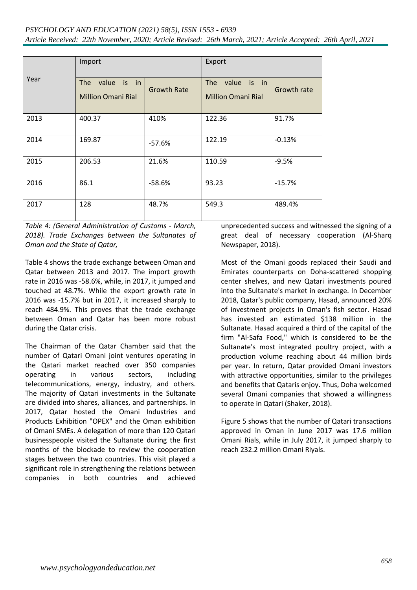| Year | Import                                                    |                    | Export                                          |             |
|------|-----------------------------------------------------------|--------------------|-------------------------------------------------|-------------|
|      | is in<br><b>The</b><br>value<br><b>Million Omani Rial</b> | <b>Growth Rate</b> | value is in<br>The<br><b>Million Omani Rial</b> | Growth rate |
| 2013 | 400.37                                                    | 410%               | 122.36                                          | 91.7%       |
| 2014 | 169.87                                                    | $-57.6%$           | 122.19                                          | $-0.13%$    |
| 2015 | 206.53                                                    | 21.6%              | 110.59                                          | $-9.5%$     |
| 2016 | 86.1                                                      | $-58.6%$           | 93.23                                           | $-15.7%$    |
| 2017 | 128                                                       | 48.7%              | 549.3                                           | 489.4%      |

*Table 4: (General Administration of Customs - March, 2018). Trade Exchanges between the Sultanates of Oman and the State of Qatar,* 

Table 4 shows the trade exchange between Oman and Qatar between 2013 and 2017. The import growth rate in 2016 was -58.6%, while, in 2017, it jumped and touched at 48.7%. While the export growth rate in 2016 was -15.7% but in 2017, it increased sharply to reach 484.9%. This proves that the trade exchange between Oman and Qatar has been more robust during the Qatar crisis.

The Chairman of the Qatar Chamber said that the number of Qatari Omani joint ventures operating in the Qatari market reached over 350 companies operating in various sectors, including telecommunications, energy, industry, and others. The majority of Qatari investments in the Sultanate are divided into shares, alliances, and partnerships. In 2017, Qatar hosted the Omani Industries and Products Exhibition "OPEX" and the Oman exhibition of Omani SMEs. A delegation of more than 120 Qatari businesspeople visited the Sultanate during the first months of the blockade to review the cooperation stages between the two countries. This visit played a significant role in strengthening the relations between companies in both countries and achieved unprecedented success and witnessed the signing of a great deal of necessary cooperation (Al-Sharq Newspaper, 2018).

Most of the Omani goods replaced their Saudi and Emirates counterparts on Doha-scattered shopping center shelves, and new Qatari investments poured into the Sultanate's market in exchange. In December 2018, Qatar's public company, Hasad, announced 20% of investment projects in Oman's fish sector. Hasad has invested an estimated \$138 million in the Sultanate. Hasad acquired a third of the capital of the firm "Al-Safa Food," which is considered to be the Sultanate's most integrated poultry project, with a production volume reaching about 44 million birds per year. In return, Qatar provided Omani investors with attractive opportunities, similar to the privileges and benefits that Qataris enjoy. Thus, Doha welcomed several Omani companies that showed a willingness to operate in Qatari (Shaker, 2018).

Figure 5 shows that the number of Qatari transactions approved in Oman in June 2017 was 17.6 million Omani Rials, while in July 2017, it jumped sharply to reach 232.2 million Omani Riyals.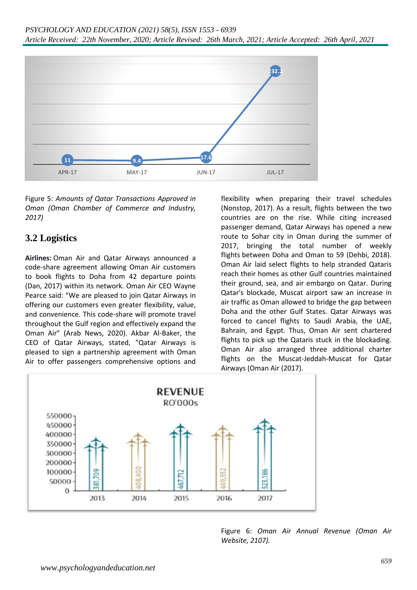

Figure 5: *Amounts of Qatar Transactions Approved in Oman (Oman Chamber of Commerce and Industry, 2017)*

# **3.2 Logistics**

**Airlines:** Oman Air and Qatar Airways announced a code-share agreement allowing Oman Air customers to book flights to Doha from 42 departure points (Dan, 2017) within its network. Oman Air CEO Wayne Pearce said: "We are pleased to join Qatar Airways in offering our customers even greater flexibility, value, and convenience. This code-share will promote travel throughout the Gulf region and effectively expand the Oman Air" (Arab News, 2020). Akbar Al-Baker, the CEO of Qatar Airways, stated, "Qatar Airways is pleased to sign a partnership agreement with Oman Air to offer passengers comprehensive options and flexibility when preparing their travel schedules (Nonstop, 2017). As a result, flights between the two countries are on the rise. While citing increased passenger demand, Qatar Airways has opened a new route to Sohar city in Oman during the summer of 2017, bringing the total number of weekly flights between Doha and Oman to 59 (Dehbi, 2018). Oman Air laid select flights to help stranded Qataris reach their homes as other Gulf countries maintained their ground, sea, and air embargo on Qatar. During Qatar's blockade, Muscat airport saw an increase in air traffic as Oman allowed to bridge the gap between Doha and the other Gulf States. Qatar Airways was forced to cancel flights to Saudi Arabia, the UAE, Bahrain, and Egypt. Thus, Oman Air sent chartered flights to pick up the Qataris stuck in the blockading. Oman Air also arranged three additional charter flights on the Muscat-Jeddah-Muscat for Qatar Airways (Oman Air (2017).



Figure 6: *Oman Air Annual Revenue (Oman Air Website, 2107).*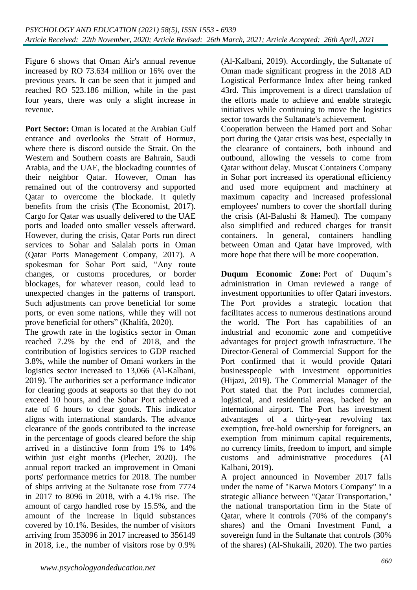Figure 6 shows that Oman Air's annual revenue increased by RO 73.634 million or 16% over the previous years. It can be seen that it jumped and reached RO 523.186 million, while in the past four years, there was only a slight increase in revenue.

**Port Sector:** Oman is located at the Arabian Gulf entrance and overlooks the Strait of Hormuz, where there is discord outside the Strait. On the Western and Southern coasts are Bahrain, Saudi Arabia, and the UAE, the blockading countries of their neighbor Qatar. However, Oman has remained out of the controversy and supported Qatar to overcome the blockade. It quietly benefits from the crisis (The Economist, 2017). Cargo for Qatar was usually delivered to the UAE ports and loaded onto smaller vessels afterward. However, during the crisis, Qatar Ports run direct services to Sohar and Salalah ports in Oman (Qatar Ports Management Company, 2017). A spokesman for Sohar Port said, "Any route changes, or customs procedures, or border blockages, for whatever reason, could lead to unexpected changes in the patterns of transport. Such adjustments can prove beneficial for some ports, or even some nations, while they will not prove beneficial for others" (Khalifa, 2020).

The growth rate in the logistics sector in Oman reached 7.2% by the end of 2018, and the contribution of logistics services to GDP reached 3.8%, while the number of Omani workers in the logistics sector increased to 13,066 (Al-Kalbani, 2019). The authorities set a performance indicator for clearing goods at seaports so that they do not exceed 10 hours, and the Sohar Port achieved a rate of 6 hours to clear goods. This indicator aligns with international standards. The advance clearance of the goods contributed to the increase in the percentage of goods cleared before the ship arrived in a distinctive form from 1% to 14% within just eight months (Plecher, 2020). The annual report tracked an improvement in Omani ports' performance metrics for 2018. The number of ships arriving at the Sultanate rose from 7774 in 2017 to 8096 in 2018, with a 4.1% rise. The amount of cargo handled rose by 15.5%, and the amount of the increase in liquid substances covered by 10.1%. Besides, the number of visitors arriving from 353096 in 2017 increased to 356149 in 2018, i.e., the number of visitors rose by 0.9%

(Al-Kalbani, 2019). Accordingly, the Sultanate of Oman made significant progress in the 2018 AD Logistical Performance Index after being ranked 43rd. This improvement is a direct translation of the efforts made to achieve and enable strategic initiatives while continuing to move the logistics sector towards the Sultanate's achievement.

Cooperation between the Hamed port and Sohar port during the Qatar crisis was best, especially in the clearance of containers, both inbound and outbound, allowing the vessels to come from Qatar without delay. Muscat Containers Company in Sohar port increased its operational efficiency and used more equipment and machinery at maximum capacity and increased professional employees' numbers to cover the shortfall during the crisis (Al-Balushi & Hamed). The company also simplified and reduced charges for transit containers. In general, containers handling between Oman and Qatar have improved, with more hope that there will be more cooperation.

**Duqum Economic Zone:** Port of Duqum's administration in Oman reviewed a range of investment opportunities to offer Qatari investors. The Port provides a strategic location that facilitates access to numerous destinations around the world. The Port has capabilities of an industrial and economic zone and competitive advantages for project growth infrastructure. The Director-General of Commercial Support for the Port confirmed that it would provide Qatari businesspeople with investment opportunities (Hijazi, 2019). The Commercial Manager of the Port stated that the Port includes commercial, logistical, and residential areas, backed by an international airport. The Port has investment advantages of a thirty-year revolving tax exemption, free-hold ownership for foreigners, an exemption from minimum capital requirements, no currency limits, freedom to import, and simple customs and administrative procedures (Al Kalbani, 2019).

A project announced in November 2017 falls under the name of "Karwa Motors Company" in a strategic alliance between "Qatar Transportation," the national transportation firm in the State of Qatar, where it controls (70% of the company's shares) and the Omani Investment Fund, a sovereign fund in the Sultanate that controls (30% of the shares) (Al-Shukaili, 2020). The two parties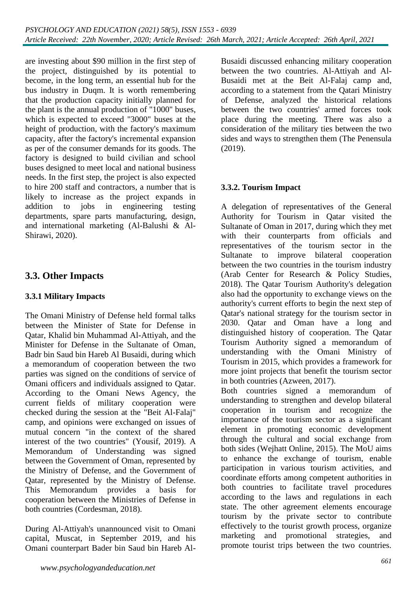are investing about \$90 million in the first step of the project, distinguished by its potential to become, in the long term, an essential hub for the bus industry in Duqm. It is worth remembering that the production capacity initially planned for the plant is the annual production of "1000" buses, which is expected to exceed "3000" buses at the height of production, with the factory's maximum capacity, after the factory's incremental expansion as per of the consumer demands for its goods. The factory is designed to build civilian and school buses designed to meet local and national business needs. In the first step, the project is also expected to hire 200 staff and contractors, a number that is likely to increase as the project expands in addition to jobs in engineering testing departments, spare parts manufacturing, design, and international marketing (Al-Balushi & Al-Shirawi, 2020).

# **3.3. Other Impacts**

### **3.3.1 Military Impacts**

The Omani Ministry of Defense held formal talks between the Minister of State for Defense in Qatar, Khalid bin Muhammad Al-Attiyah, and the Minister for Defense in the Sultanate of Oman, Badr bin Saud bin Hareb Al Busaidi, during which a memorandum of cooperation between the two parties was signed on the conditions of service of Omani officers and individuals assigned to Qatar. According to the Omani News Agency, the current fields of military cooperation were checked during the session at the "Beit Al-Falaj" camp, and opinions were exchanged on issues of mutual concern "in the context of the shared interest of the two countries" (Yousif, 2019). A Memorandum of Understanding was signed between the Government of Oman, represented by the Ministry of Defense, and the Government of Qatar, represented by the Ministry of Defense. This Memorandum provides a basis for cooperation between the Ministries of Defense in both countries (Cordesman, 2018).

During Al-Attiyah's unannounced visit to Omani capital, Muscat, in September 2019, and his Omani counterpart Bader bin Saud bin Hareb AlBusaidi discussed enhancing military cooperation between the two countries. Al-Attiyah and Al-Busaidi met at the Beit Al-Falaj camp and, according to a statement from the Qatari Ministry of Defense, analyzed the historical relations between the two countries' armed forces took place during the meeting. There was also a consideration of the military ties between the two sides and ways to strengthen them (The Penensula (2019).

### **3.3.2. Tourism Impact**

A delegation of representatives of the General Authority for Tourism in Qatar visited the Sultanate of Oman in 2017, during which they met with their counterparts from officials and representatives of the tourism sector in the Sultanate to improve bilateral cooperation between the two countries in the tourism industry (Arab Center for Research & Policy Studies, 2018). The Qatar Tourism Authority's delegation also had the opportunity to exchange views on the authority's current efforts to begin the next step of Qatar's national strategy for the tourism sector in 2030. Qatar and Oman have a long and distinguished history of cooperation. The Qatar Tourism Authority signed a memorandum of understanding with the Omani Ministry of Tourism in 2015, which provides a framework for more joint projects that benefit the tourism sector in both countries (Azween, 2017).

Both countries signed a memorandum of understanding to strengthen and develop bilateral cooperation in tourism and recognize the importance of the tourism sector as a significant element in promoting economic development through the cultural and social exchange from both sides (Wejhatt Online, 2015). The MoU aims to enhance the exchange of tourism, enable participation in various tourism activities, and coordinate efforts among competent authorities in both countries to facilitate travel procedures according to the laws and regulations in each state. The other agreement elements encourage tourism by the private sector to contribute effectively to the tourist growth process, organize marketing and promotional strategies, and promote tourist trips between the two countries.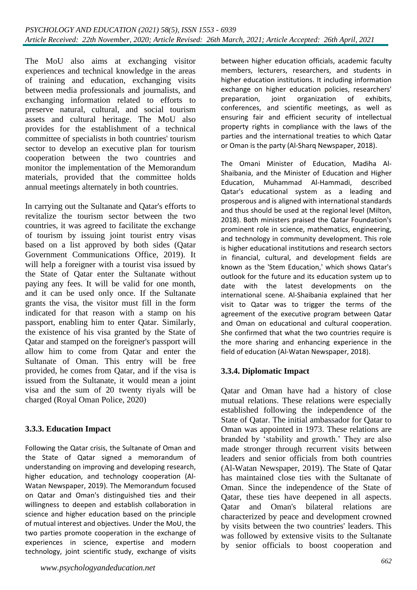The MoU also aims at exchanging visitor experiences and technical knowledge in the areas of training and education, exchanging visits between media professionals and journalists, and exchanging information related to efforts to preserve natural, cultural, and social tourism assets and cultural heritage. The MoU also provides for the establishment of a technical committee of specialists in both countries' tourism sector to develop an executive plan for tourism cooperation between the two countries and monitor the implementation of the Memorandum materials, provided that the committee holds annual meetings alternately in both countries.

In carrying out the Sultanate and Qatar's efforts to revitalize the tourism sector between the two countries, it was agreed to facilitate the exchange of tourism by issuing joint tourist entry visas based on a list approved by both sides (Qatar Government Communications Office, 2019). It will help a foreigner with a tourist visa issued by the State of Qatar enter the Sultanate without paying any fees. It will be valid for one month, and it can be used only once. If the Sultanate grants the visa, the visitor must fill in the form indicated for that reason with a stamp on his passport, enabling him to enter Qatar. Similarly, the existence of his visa granted by the State of Qatar and stamped on the foreigner's passport will allow him to come from Qatar and enter the Sultanate of Oman. This entry will be free provided, he comes from Qatar, and if the visa is issued from the Sultanate, it would mean a joint visa and the sum of 20 twenty riyals will be charged (Royal Oman Police, 2020)

### **3.3.3. Education Impact**

Following the Qatar crisis, the Sultanate of Oman and the State of Qatar signed a memorandum of understanding on improving and developing research, higher education, and technology cooperation (Al-Watan Newspaper, 2019). The Memorandum focused on Qatar and Oman's distinguished ties and their willingness to deepen and establish collaboration in science and higher education based on the principle of mutual interest and objectives. Under the MoU, the two parties promote cooperation in the exchange of experiences in science, expertise and modern technology, joint scientific study, exchange of visits between higher education officials, academic faculty members, lecturers, researchers, and students in higher education institutions. It including information exchange on higher education policies, researchers' preparation, joint organization of exhibits, conferences, and scientific meetings, as well as ensuring fair and efficient security of intellectual property rights in compliance with the laws of the parties and the international treaties to which Qatar or Oman is the party (Al-Sharq Newspaper, 2018).

The Omani Minister of Education, Madiha Al-Shaibania, and the Minister of Education and Higher Education, Muhammad Al-Hammadi, described Qatar's educational system as a leading and prosperous and is aligned with international standards and thus should be used at the regional level (Milton, 2018). Both ministers praised the Qatar Foundation's prominent role in science, mathematics, engineering, and technology in community development. This role is higher educational institutions and research sectors in financial, cultural, and development fields are known as the 'Stem Education,' which shows Qatar's outlook for the future and its education system up to date with the latest developments on the international scene. Al-Shaibania explained that her visit to Qatar was to trigger the terms of the agreement of the executive program between Qatar and Oman on educational and cultural cooperation. She confirmed that what the two countries require is the more sharing and enhancing experience in the field of education (Al-Watan Newspaper, 2018).

### **3.3.4. Diplomatic Impact**

Qatar and Oman have had a history of close mutual relations. These relations were especially established following the independence of the State of Qatar. The initial ambassador for Qatar to Oman was appointed in 1973. These relations are branded by 'stability and growth.' They are also made stronger through recurrent visits between leaders and senior officials from both countries (Al-Watan Newspaper, 2019). The State of Qatar has maintained close ties with the Sultanate of Oman. Since the independence of the State of Qatar, these ties have deepened in all aspects. Qatar and Oman's bilateral relations are characterized by peace and development crowned by visits between the two countries' leaders. This was followed by extensive visits to the Sultanate by senior officials to boost cooperation and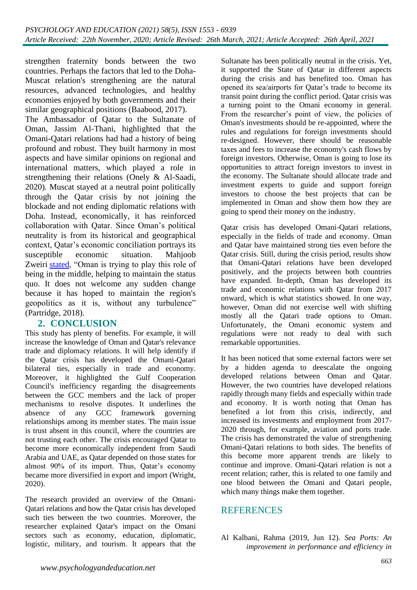strengthen fraternity bonds between the two countries. Perhaps the factors that led to the Doha-Muscat relation's strengthening are the natural resources, advanced technologies, and healthy economies enjoyed by both governments and their similar geographical positions (Baabood, 2017).

The Ambassador of Qatar to the Sultanate of Oman, Jassim Al-Thani, highlighted that the Omani-Qatari relations had had a history of being profound and robust. They built harmony in most aspects and have similar opinions on regional and international matters, which played a role in strengthening their relations (Onely & Al-Saadi, 2020). Muscat stayed at a neutral point politically through the Qatar crisis by not joining the blockade and not ending diplomatic relations with Doha. Instead, economically, it has reinforced collaboration with Qatar. Since Oman's political neutrality is from its historical and geographical context, Qatar's economic conciliation portrays its susceptible economic situation. Mahjoob Zweiri [stated,](https://www.aljazeera.com/news/2017/11/oman-stance-qatar-gulf-crisis-171125061013462.html) "Oman is trying to play this role of being in the middle, helping to maintain the status quo. It does not welcome any sudden change because it has hoped to maintain the region's geopolitics as it is, without any turbulence" (Partridge, 2018).

### **2. CONCLUSION**

This study has plenty of benefits. For example, it will increase the knowledge of Oman and Qatar's relevance trade and diplomacy relations. It will help identify if the Qatar crisis has developed the Omani-Qatari bilateral ties, especially in trade and economy. Moreover, it highlighted the Gulf Cooperation Council's inefficiency regarding the disagreements between the GCC members and the lack of proper mechanisms to resolve disputes. It underlines the absence of any GCC framework governing relationships among its member states. The main issue is trust absent in this council, where the countries are not trusting each other. The crisis encouraged Qatar to become more economically independent from Saudi Arabia and UAE, as Qatar depended on those states for almost 90% of its import. Thus, Qatar's economy became more diversified in export and import (Wright, 2020).

The research provided an overview of the Omani-Qatari relations and how the Qatar crisis has developed such ties between the two countries. Moreover, the researcher explained Qatar's impact on the Omani sectors such as economy, education, diplomatic, logistic, military, and tourism. It appears that the

Sultanate has been politically neutral in the crisis. Yet, it supported the State of Qatar in different aspects during the crisis and has benefited too. Oman has opened its sea/airports for Qatar's trade to become its transit point during the conflict period. Qatar crisis was a turning point to the Omani economy in general. From the researcher's point of view, the policies of Oman's investments should be re-appointed, where the rules and regulations for foreign investments should re-designed. However, there should be reasonable taxes and fees to increase the economy's cash flows by foreign investors. Otherwise, Oman is going to lose its opportunities to attract foreign investors to invest in the economy. The Sultanate should allocate trade and investment experts to guide and support foreign investors to choose the best projects that can be implemented in Oman and show them how they are going to spend their money on the industry.

Qatar crisis has developed Omani-Qatari relations, especially in the fields of trade and economy. Oman and Qatar have maintained strong ties even before the Qatar crisis. Still, during the crisis period, results show that Omani-Qatari relations have been developed positively, and the projects between both countries have expanded. In-depth, Oman has developed its trade and economic relations with Qatar from 2017 onward, which is what statistics showed. In one way, however, Oman did not exercise well with shifting mostly all the Qatari trade options to Oman. Unfortunately, the Omani economic system and regulations were not ready to deal with such remarkable opportunities.

It has been noticed that some external factors were set by a hidden agenda to deescalate the ongoing developed relations between Oman and Qatar. However, the two countries have developed relations rapidly through many fields and especially within trade and economy. It is worth noting that Oman has benefited a lot from this crisis, indirectly, and increased its investments and employment from 2017- 2020 through, for example, aviation and ports trade. The crisis has demonstrated the value of strengthening Omani-Qatari relations to both sides. The benefits of this become more apparent trends are likely to continue and improve. Omani-Qatari relation is not a recent relation; rather, this is related to one family and one blood between the Omani and Qatari people, which many things make them together.

### REFERENCES

Al Kalbani, Rahma (2019, Jun 12). *Sea Ports: An improvement in performance and efficiency in*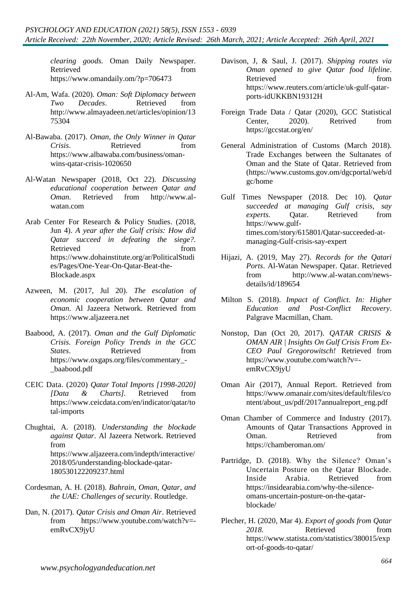*clearing goods.* Oman Daily Newspaper. Retrieved from  $\mathbb{R}$ <https://www.omandaily.om/?p=706473>

- Al-Am, Wafa. (2020). *Oman: Soft Diplomacy between Two Decades*. Retrieved from [http://www.almayadeen.net/articles/opinion/13](http://www.almayadeen.net/articles/opinion/1375304) [75304](http://www.almayadeen.net/articles/opinion/1375304)
- Al-Bawaba. (2017). *Oman, the Only Winner in Qatar Crisis*. Retrieved from [https://www.albawaba.com/business/oman](https://www.albawaba.com/business/oman-wins-qatar-crisis-1020650)[wins-qatar-crisis-1020650](https://www.albawaba.com/business/oman-wins-qatar-crisis-1020650)
- Al-Watan Newspaper (2018, Oct 22). *Discussing educational cooperation between Qatar and Oman*. Retrieved from http://www.alwatan.com
- Arab Center For Research & Policy Studies. (2018, Jun 4). *A year after the Gulf crisis: How did Qatar succeed in defeating the siege?.*  Retrieved from from [https://www.dohainstitute.org/ar/PoliticalStudi](https://www.dohainstitute.org/ar/PoliticalStudies/Pages/One-Year-On-Qatar-Beat-the-Blockade.aspx) [es/Pages/One-Year-On-Qatar-Beat-the-](https://www.dohainstitute.org/ar/PoliticalStudies/Pages/One-Year-On-Qatar-Beat-the-Blockade.aspx)[Blockade.aspx](https://www.dohainstitute.org/ar/PoliticalStudies/Pages/One-Year-On-Qatar-Beat-the-Blockade.aspx)
- Azween, M. (2017, Jul 20). *The escalation of economic cooperation between Qatar and Oman*. Al Jazeera Network. Retrieved from [https://www.aljazeera.net](https://www.aljazeera.net/)
- Baabood, A. (2017). *Oman and the Gulf Diplomatic Crisis. Foreign Policy Trends in the GCC States*. Retrieved from [https://www.oxgaps.org/files/commentary\\_-](https://www.oxgaps.org/files/commentary_-_baabood.pdf) [\\_baabood.pdf](https://www.oxgaps.org/files/commentary_-_baabood.pdf)
- CEIC Data. (2020) *Qatar Total Imports [1998-2020] [Data & Charts].* Retrieved from [https://www.ceicdata.com/en/indicator/qatar/to](https://www.ceicdata.com/en/indicator/qatar/total-imports) [tal-imports](https://www.ceicdata.com/en/indicator/qatar/total-imports)
- [Chughtai,](https://www.aljazeera.com/profile/alia-chughtai.html) A. (2018). *Understanding the blockade against Qatar*. Al Jazeera Network. Retrieved from [https://www.aljazeera.com/indepth/interactive/](https://www.aljazeera.com/indepth/interactive/2018/05/understanding-blockade-qatar-180530122209237.html) [2018/05/understanding-blockade-qatar-](https://www.aljazeera.com/indepth/interactive/2018/05/understanding-blockade-qatar-180530122209237.html)[180530122209237.html](https://www.aljazeera.com/indepth/interactive/2018/05/understanding-blockade-qatar-180530122209237.html)
- Cordesman, A. H. (2018). *Bahrain, Oman, Qatar, and the UAE: Challenges of security*. Routledge.
- Dan, N. (2017). *Qatar Crisis and Oman Air*. Retrieved from [https://www.youtube.com/watch?v=](https://www.youtube.com/watch?v=-emRvCX9jyU) [emRvCX9jyU](https://www.youtube.com/watch?v=-emRvCX9jyU)
- Davison, J, & Saul, J. (2017). *Shipping routes via Oman opened to give Qatar food lifeline*. Retrieved from from [https://www.reuters.com/article/uk-gulf-qatar](https://www.reuters.com/article/uk-gulf-qatar-ports-idUKKBN19312H)[ports-idUKKBN19312H](https://www.reuters.com/article/uk-gulf-qatar-ports-idUKKBN19312H)
- Foreign Trade Data / Qatar (2020), GCC Statistical Center, 2020). Retrived from <https://gccstat.org/en/>
- General Administration of Customs (March 2018). Trade Exchanges between the Sultanates of Oman and the State of Qatar. Retrieved from [\(https://www.customs.gov.om/dgcportal/web/d](https://www.customs.gov.om/dgcportal/web/dgc/home) [gc/home](https://www.customs.gov.om/dgcportal/web/dgc/home)
- Gulf Times Newspaper (2018. Dec 10). *Qatar succeeded at managing Gulf crisis, say experts.* Oatar. Retrieved from [https://www.gulf](https://www.gulf-times.com/story/615801/Qatar-succeeded-at-managing-Gulf-crisis-say-expert)[times.com/story/615801/Qatar-succeeded-at](https://www.gulf-times.com/story/615801/Qatar-succeeded-at-managing-Gulf-crisis-say-expert)[managing-Gulf-crisis-say-expert](https://www.gulf-times.com/story/615801/Qatar-succeeded-at-managing-Gulf-crisis-say-expert)
- Hijazi, A. (2019, May 27). *Records for the Qatari Ports*. Al-Watan Newspaper. Qatar. Retrieved from [http://www.al-watan.com/news](http://www.al-watan.com/news-details/id/189654)[details/id/189654](http://www.al-watan.com/news-details/id/189654)
- Milton S. (2018). *Impact of Conflict. In: Higher Education and Post-Conflict Recovery*. Palgrave Macmillan, Cham.
- [Nonstop, Dan](https://www.youtube.com/channel/UCrLe85KbtkqnnSnIVc-KLjA) (Oct 20, 2017). *QATAR CRISIS & OMAN AIR | Insights On Gulf Crisis From Ex-CEO Paul Gregorowitsch!* Retrieved from [https://www.youtube.com/watch?v=](https://www.youtube.com/watch?v=-emRvCX9jyU) [emRvCX9jyU](https://www.youtube.com/watch?v=-emRvCX9jyU)
- Oman Air (2017), Annual Report. Retrieved from [https://www.omanair.com/sites/default/files/co](https://www.omanair.com/sites/default/files/content/about_us/pdf/2017annualreport_eng.pdf) [ntent/about\\_us/pdf/2017annualreport\\_eng.pdf](https://www.omanair.com/sites/default/files/content/about_us/pdf/2017annualreport_eng.pdf)
- Oman Chamber of Commerce and Industry (2017). Amounts of Qatar Transactions Approved in Oman. Retrieved from <https://chamberoman.om/>
- [Partridge,](https://insidearabia.com/author/diana-partridge/) D. (2018). Why the Silence? Oman's Uncertain Posture on the Qatar Blockade. Inside Arabia. Retrieved from [https://insidearabia.com/why-the-silence](https://insidearabia.com/why-the-silence-omans-uncertain-posture-on-the-qatar-blockade/)[omans-uncertain-posture-on-the-qatar](https://insidearabia.com/why-the-silence-omans-uncertain-posture-on-the-qatar-blockade/)[blockade/](https://insidearabia.com/why-the-silence-omans-uncertain-posture-on-the-qatar-blockade/)
- [Plecher,](https://www.statista.com/aboutus/our-research-commitment) H. (2020, Mar 4). *Export of goods from Qatar*  2018. Retrieved from [https://www.statista.com/statistics/380015/exp](https://www.statista.com/statistics/380015/export-of-goods-to-qatar/) [ort-of-goods-to-qatar/](https://www.statista.com/statistics/380015/export-of-goods-to-qatar/)